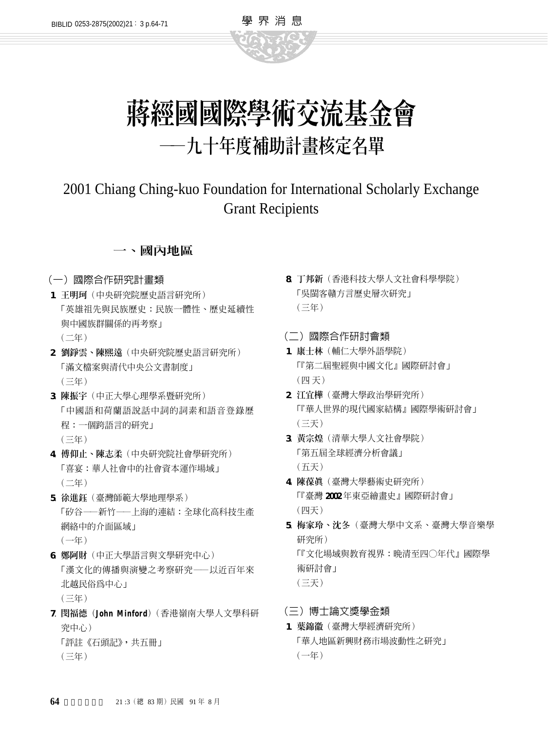

學 界 消 息

# 2001 Chiang Ching-kuo Foundation for International Scholarly Exchange Grant Recipients

## 一、國內地區

### (一)國際合作研究計畫類

- **1**. 王明珂(中央研究院歷史語言研究所) 「英雄祖先與民族歷史:民族一體性、歷史延續性 與中國族群關係的再考察」 (二年)
- **2**. 劉錚雲、陳熙遠(中央研究院歷史語言研究所) 「滿文檔案與清代中央公文書制度」  $($  三年)
- **3**. 陳振宇(中正大學心理學系暨研究所) 「中國語和荷蘭語說話中詞的詞素和語音登錄歷 程:一個跨語言的研究」  $($  三年)
- **4**. 傅仰止、陳志柔(中央研究院社會學研究所) 「喜宴:華人社會中的社會資本運作場域」 (二年)
- **5**. 徐進鈺(臺灣師範大學地理學系) 「矽谷——新竹——上海的連結:全球化高科技生產 網絡中的介面區域」  $(-4E)$
- **6**. 鄭阿財(中正大學語言與文學研究中心) 「漢文化的傳播與演變之考察研究——以近百年來 北越民俗為中心」  $($  三年)
- **7**. 閔福德(**John Minfo rd**)(香港嶺南大學人文學科研 究中心) 「評註《石頭記》,共五冊」
	- (三年)
- **8**. 丁邦新(香港科技大學人文社會科學學院) 「吳閩客贛方言歷史層次研究」  $($  三年)
- (二)國際合作研討會類
- **1**. 康士林(輔仁大學外語學院) 「『第二屆聖經與中國文化』國際研討會」 (四 天)
- **2**. 江宜樺(臺灣大學政治學研究所) 「『華人世界的現代國家結構』國際學術研討會」  $($  $\equiv$  $\mp$  $)$
- **3**. 黃宗煌(清華大學人文社會學院) 「第五屆全球經濟分析會議」 (五天)
- **4**. 陳葆真(臺灣大學藝術史研究所) 「『臺灣 **2 0 0 2** 年東亞繪畫史』國際研討會」 (四天)
- **5**. 梅家玲、沈冬(臺灣大學中文系、臺灣大學音樂學 研究所) 「『文化場域與教育視界:晚清至四○年代』國際學 術研討會」 (三天)
- (三)博士論文獎學金類
- **1**. 葉錦徽(臺灣大學經濟研究所) 「華人地區新興財務市場波動性之研究」  $(-4E)$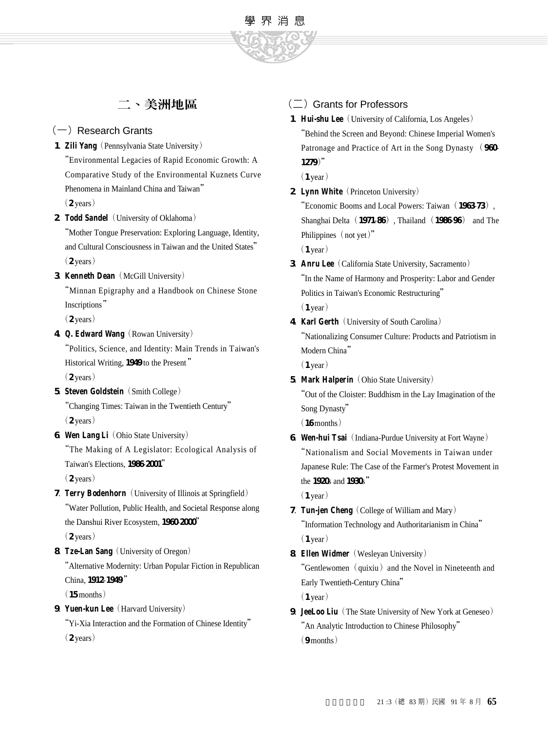# 二、美洲地區

#### $(-)$  Research Grants

1. **Zili Yang** (Pennsylvania State University) "Environmental Legacies of Rapid Economic Growth: A Comparative Study of the Environmental Kuznets Curve Phenomena in Mainland China and Taiwan"  $(2 \text{ years})$ 

2. **Todd Sandel** (University of Oklahoma) "Mother Tongue Preservation: Exploring Language, Identity, and Cultural Consciousness in Taiwan and the United States"  $(2 \text{ years})$ 

#### **3**. **Kenneth Dean**(McGill University)

"Minnan Epigraphy and a Handbook on Chinese Stone Inscriptions"

 $(2 \text{ years})$ 

4. **Q. Edward Wang** (Rowan University)

"Politics, Science, and Identity: Main Trends in Taiwan's Historical Writing, 1949 to the Present"  $(2 \text{ years})$ 

**5**. **Steven Goldstein** (Smith College)

"Changing Times: Taiwan in the Twentieth Century"  $(2 \text{ years})$ 

**6**. **Wen Lang Li**(Ohio State University)

"The Making of A Legislator: Ecological Analysis of Taiwan's Elections, 1986-2001"

 $(2 \text{ years})$ 

- **7**. **Terry Bodenhorn**(University of Illinois at Springfield) "Water Pollution, Public Health, and Societal Response along the Danshui River Ecosystem, 1960-2000"  $(2 \text{ years})$
- **8**. **Tze-Lan Sang**(University of Oregon)

"Alternative Modernity: Urban Popular Fiction in Republican China, 1912-1949"

 $(15$  months)

**9**. **Yuen-kun Lee**(Harvard University)

"Yi-Xia Interaction and the Formation of Chinese Identity"  $(2 \text{ years})$ 

# $(\square)$  Grants for Professors

**1**. **Hui-shu Lee**(University of California, Los Angeles) "Behind the Screen and Beyond: Chinese Imperial Women's Patronage and Practice of Art in the Song Dynasty (960-1279)"

 $(1$  year)

學 界 消 息

2. **Lynn White** (Princeton University)

"Economic Booms and Local Powers: Taiwan (1963-73), Shanghai Delta(**1 9 7 1**-**8 6**), Thailand(**1 9 8 6**-**9 6**) and The Philippines (not yet)"  $(1$  year)

- **3**. **Anru Lee**(California State University, Sacramento) "In the Name of Harmony and Prosperity: Labor and Gender Politics in Taiwan's Economic Restructuring"  $(1$  year)
- **4**. **Karl Gerth**(University of South Carolina) "Nationalizing Consumer Culture: Products and Patriotism in Modern China"  $(1$  year)
- **5**. **Mark Halperin**(Ohio State University) "Out of the Cloister: Buddhism in the Lay Imagination of the Song Dynasty"  $(16$  months)
- **6. Wen-hui Tsai** (Indiana-Purdue University at Fort Wayne) "Nationalism and Social Movements in Taiwan under Japanese Rule: The Case of the Farmer's Protest Movement in the 1920s and 1930s"

 $(1$  year)

- **7**. **Tun-jen Cheng**(College of William and Mary) "Information Technology and Authoritarianism in China"  $(1$  year)
- **8**. **Ellen Widmer**(Wesleyan University) "Gentlewomen (quixiu) and the Novel in Nineteenth and Early Twentieth-Century China"  $(1$  year)
- **9**. **JeeLoo Liu**(The State University of New York at Geneseo) "An Analytic Introduction to Chinese Philosophy"  $(9$  m on the  $)$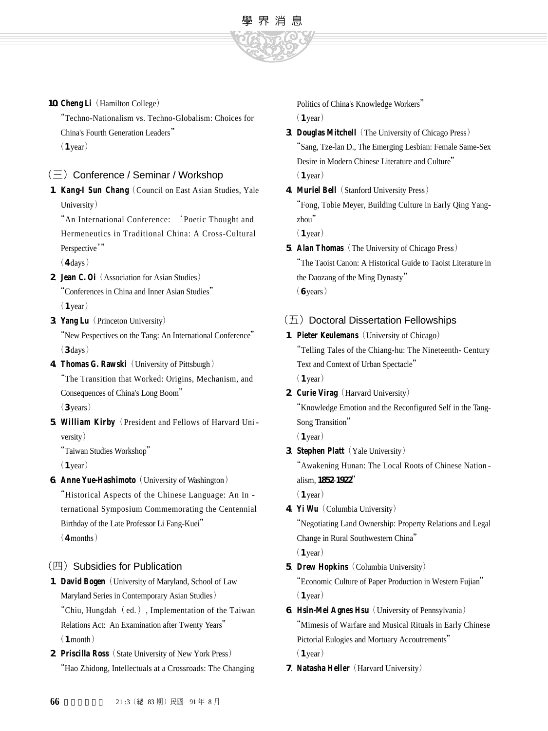

#### 10. **Cheng Li** (Hamilton College)

"Techno-Nationalism vs. Techno-Globalism: Choices for China's Fourth Generation Leaders"  $(1$  year)

#### $(\equiv)$  Conference / Seminar / Workshop

1. **Kang-I Sun Chang** (Council on East Asian Studies, Yale University)

"An International Conference: 'Poetic Thought and Hermeneutics in Traditional China: A Cross-Cultural Perspective"

 $(4 \text{ days})$ 

- **2**. **Jean C. Oi**(Association for Asian Studies) "Conferences in China and Inner Asian Studies"  $(1$  year)
- **3** Yang Lu (Princeton University) "New Pespectives on the Tang: An International Conference"
- $(3 \text{days})$ 4. **Thomas G. Rawski** (University of Pittsburgh)

"The Transition that Worked: Origins, Mechanism, and Consequences of China's Long Boom"  $(3$  years)

**5**. **William Kirby**(President and Fellows of Harvard Uni  $versity)$ 

"Taiwan Studies Workshop"

 $(1$  year)

**6**. **Anne Yue-Hashimoto** (University of Washington) "Historical Aspects of the Chinese Language: An In ternational Symposium Commemorating the Centennial Birthday of the Late Professor Li Fang-Kuei"

 $(4$  months)

#### (四) Subsidies for Publication

- 1. **David Bogen** (University of Maryland, School of Law Maryland Series in Contemporary Asian Studies) "Chiu, Hungdah $(\text{ed.})$ , Implementation of the Taiwan Relations Act: An Examination after Twenty Years"  $(1$  month)
- 2. **Priscilla Ross** (State University of New York Press) "Hao Zhidong, Intellectuals at a Crossroads: The Changing

Politics of China's Knowledge Workers"

 $(1$  year)

- **3**. **Douglas Mitchell**(The University of Chicago Press) "Sang, Tze-lan D., The Emerging Lesbian: Female Same-Sex Desire in Modern Chinese Literature and Culture"  $(1$  year)
- **4**. **Muriel Bell**(Stanford University Press)

"Fong, Tobie Meyer, Building Culture in Early Qing Yang $z$ hou"

 $(1$  year)

**5**. **Alan Thomas**(The University of Chicago Press) "The Taoist Canon: A Historical Guide to Taoist Literature in the Daozang of the Ming Dynasty"  $(6$  years)

#### $($  $\overline{\text{L}}$ ) Doctoral Dissertation Fellowships

- 1. **Pieter Keulemans** (University of Chicago) "Telling Tales of the Chiang-hu: The Nineteenth- Century Text and Context of Urban Spectacle"  $(1$  year)
- 2. **Curie Virag** (Harvard University) "Knowledge Emotion and the Reconfigured Self in the Tang-Song Transition"

 $(1$  year)

**3**. **Stephen Platt** (Yale University)

"Awakening Hunan: The Local Roots of Chinese Nation alism, 1852-1922"

 $(1$  year)

**4**. **Yi Wu**(Columbia University)

"Negotiating Land Ownership: Property Relations and Legal Change in Rural Southwestern China"  $(1$  year)

**5. Drew Hopkins** (Columbia University)

"Economic Culture of Paper Production in Western Fujian"  $(1$  year)

- **6**. **Hsin-Mei Agnes Hsu**(University of Pennsylvania) "Mimesis of Warfare and Musical Rituals in Early Chinese Pictorial Eulogies and Mortuary Accoutrements"  $(1$  year)
- **7**. **Natasha Heller**(Harvard University)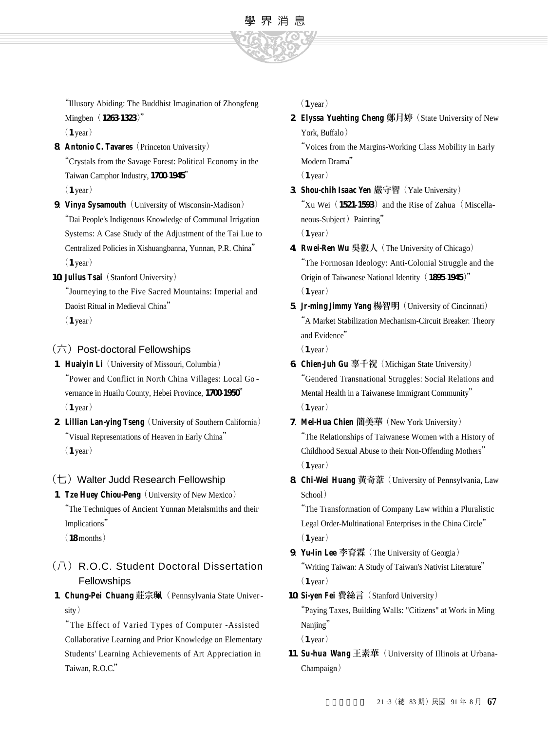

"Illusory Abiding: The Buddhist Imagination of Zhongfeng Mingben (1263-1323)"

 $(1$  year)

**8. Antonio C. Tavares** (Princeton University) "Crystals from the Savage Forest: Political Economy in the Taiwan Camphor Industry, 1700-1945"

 $(1$  year)

- **9. Vinya Sysamouth** (University of Wisconsin-Madison) "Dai People's Indigenous Knowledge of Communal Irrigation Systems: A Case Study of the Adjustment of the Tai Lue to Centralized Policies in Xishuangbanna, Yunnan, P.R. China"  $(1$  year)
- 10. **Julius Tsai** (Stanford University)

"Journeying to the Five Sacred Mountains: Imperial and Daoist Ritual in Medieval China"  $(1$  year)

#### (六)Post-doctoral Fellowships

- **1**. **Huaiyin Li**(University of Missouri, Columbia) "Power and Conflict in North China Villages: Local Go vernance in Huailu County, Hebei Province, 1700-1950"  $(1$  year)
- **2**. **Lillian Lan-ying Tseng**(University of Southern California) "Visual Representations of Heaven in Early China"  $(1$  year)

#### $(\pm)$  Walter Judd Research Fellowship

**1. Tze Huey Chiou-Peng** (University of New Mexico) "The Techniques of Ancient Yunnan Metalsmiths and their Implications"

 $(18$  months)

# (八) R.O.C. Student Doctoral Dissertation Fellowships

1. **Chung-Pei Chuang** 莊宗珮 (Pennsylvania State Univer $sity)$ 

"The Effect of Varied Types of Computer - Assisted Collaborative Learning and Prior Knowledge on Elementary Students' Learning Achievements of Art Appreciation in Taiwan, R.O.C."

 $(1$  year)

**2**. **Elyssa Yuehting Cheng** 鄭月婷(State University of New York,  $Butffalo$ )

"Voices from the Margins-Working Class Mobility in Early Modern Drama"

 $(1$  year)

**3 Shou-chih Isaac Yen** 嚴守智 (Yale University) "Xu Wei (1521-1593) and the Rise of Zahua (Miscellaneous-Subject) Painting"

 $(1$  year)

- 4. **Rwei-Ren Wu** 吳叡人 (The University of Chicago) "The Formosan Ideology: Anti-Colonial Struggle and the Origin of Taiwanese National Identity (1895-1945)"  $(1$  year)
- 5. **Jr-ming Jimmy Yang** 楊智明 (University of Cincinnati) "A Market Stabilization Mechanism-Circuit Breaker: Theory and Evidence"

 $(1$  year)

- **6**. **Chien-Juh Gu** 辜千祝(Michigan State University) "Gendered Transnational Struggles: Social Relations and Mental Health in a Taiwanese Immigrant Community"  $(1$  year)
- **7**. **Mei-Hua Chien** 簡美華(New York University) "The Relationships of Taiwanese Women with a History of Childhood Sexual Abuse to their Non-Offending Mothers"  $(1$  year)
- **8**. **C h i Wei Huang** 黃奇葦(University of Pennsylvania, Law School)

"The Transformation of Company Law within a Pluralistic Legal Order-Multinational Enterprises in the China Circle"  $(1$  year)

- 9. **Yu-lin Lee** 李育霖 (The University of Georgia) "Writing Taiwan: A Study of Taiwan's Nativist Literature"  $(1$  year)
- 10. Si-yen Fei 費絲言 (Stanford University) "Paying Taxes, Building Walls: "Citizens" at Work in Ming Nanjing"  $(1$  year)
- 11. **Su-hua Wang** 王素華 (University of Illinois at Urbana-Champaign)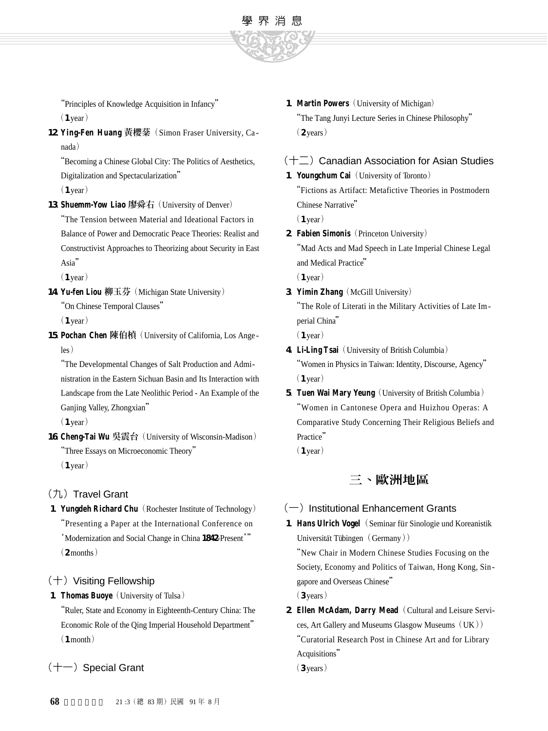

"Principles of Knowledge Acquisition in Infancy"  $(1$  year)

12. Ying-Fen Huang 黃櫻棻 (Simon Fraser University, Ca $nada)$ 

"Becoming a Chinese Global City: The Politics of Aesthetics, Digitalization and Spectacularization"

 $(1$  year)

13. **Shuemm-Yow Liao** 廖舜右 (University of Denver) "The Tension between Material and Ideational Factors in Balance of Power and Democratic Peace Theories: Realist and Constructivist Approaches to Theorizing about Security in East Asia"

 $(1$  year)

**1 4**. **Yu-fen Liou** 柳玉芬(Michigan State University) "On Chinese Temporal Clauses"

 $(1$  year)

**1 5**. **Pochan Chen** 陳伯楨(University of California, Los Ange -  $\log$ )

"The Developmental Changes of Salt Production and Administration in the Eastern Sichuan Basin and Its Interaction with Landscape from the Late Neolithic Period - An Example of the Ganjing Valley, Zhongxian"

 $(1$  year)

16. **Cheng-Tai Wu** 吳震台 (University of Wisconsin-Madison) "Three Essays on Microeconomic Theory"  $(1$  year)

(九) Travel Grant

**1. Yungdeh Richard Chu** (Rochester Institute of Technology) "Presenting a Paper at the International Conference on 'Modernization and Social Change in China 1842-Present'"  $(2$  months)

## $(+)$  Visiting Fellowship

- 1. **Thomas Buoye** (University of Tulsa)
	- "Ruler, State and Economy in Eighteenth-Century China: The Economic Role of the Qing Imperial Household Department"  $(1$  month)
- $(+-)$  Special Grant

1. **Martin Powers** (University of Michigan) "The Tang Junyi Lecture Series in Chinese Philosophy"  $(2 \text{ years})$ 

# $(+\Box)$  Canadian Association for Asian Studies

1. **Youngchum Cai** (University of Toronto)

"Fictions as Artifact: Metafictive Theories in Postmodern Chinese Narrative"

 $(1$  year)

**2**. **Fabien Simonis**(Princeton University)

"Mad Acts and Mad Speech in Late Imperial Chinese Legal and Medical Practice"

 $(1$  year)

**3**. **Yimin Zhang**(McGill University) "The Role of Literati in the Military Activities of Late Imperial China"

 $(1$  year)

- **4**. **Li-Ling Tsai**(University of British Columbia) "Women in Physics in Taiwan: Identity, Discourse, Agency"  $(1$  year)
- 5. **Tuen Wai Mary Yeung** (University of British Columbia) "Women in Cantonese Opera and Huizhou Operas: A Comparative Study Concerning Their Religious Beliefs and Practice"

 $(1$  year)

# 三、歐洲地區

## $(-)$  Institutional Enhancement Grants

1. **Hans Ulrich Vogel** (Seminar für Sinologie und Koreanistik Universität Tübingen (Germany)) "New Chair in Modern Chinese Studies Focusing on the Society, Economy and Politics of Taiwan, Hong Kong, Sin-

gapore and Overseas Chinese"

 $(3 \text{ years})$ 

2. **Ellen McAdam, Darry Mead** (Cultural and Leisure Services, Art Gallery and Museums Glasgow Museums (UK)) "Curatorial Research Post in Chinese Art and for Library Acquisitions"

 $(3 years)$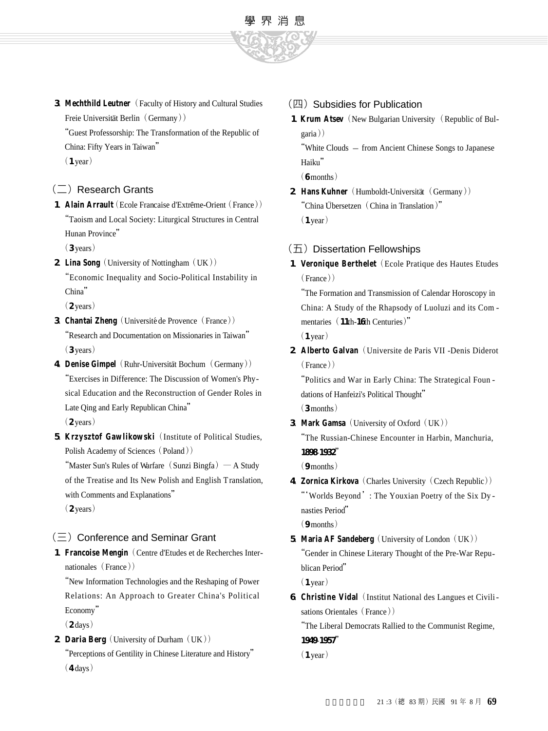

**3**. **Mechthild Leutner**(Faculty of History and Cultural Studies Freie Universität Berlin (Germany))

"Guest Professorship: The Transformation of the Republic of China: Fifty Years in Taiwan"

 $(1$  year)

#### $(\square)$  Research Grants

1. **Alain Arrault** (Ecole Francaise d'Extrême-Orient (France)) "Taoism and Local Society: Liturgical Structures in Central Hunan Province"

 $(3 \text{ years})$ 

**2. Lina Song** (University of Nottingham (UK)) "Economic Inequality and Socio-Political Instability in China"

 $(2 \text{ years})$ 

- **3**. **Chantai Zheng** (Université de Provence (France)) "Research and Documentation on Missionaries in Taiwan"  $(3 \text{ years})$
- **4. Denise Gimpel** (Ruhr-Universität Bochum (Germany)) "Exercises in Difference: The Discussion of Women's Physical Education and the Reconstruction of Gender Roles in Late Qing and Early Republican China"  $(2 \text{ years})$
- **5. Krzysztof Gawlikowski** (Institute of Political Studies, Polish Academy of Sciences (Poland))

"Master Sun's Rules of Warfare (Sunzi Bingfa) — A Study of the Treatise and Its New Polish and English Translation, with Comments and Explanations"  $(2 \text{ years})$ 

 $(\equiv)$  Conference and Seminar Grant

1. **Francoise Mengin** (Centre d'Etudes et de Recherches Internationales (France))

"New Information Technologies and the Reshaping of Power Relations: An Approach to Greater China's Political Economy"

 $(2 \text{days})$ 

2. **Daria Berg** (University of Durham (UK)) "Perceptions of Gentility in Chinese Literature and History"  $(4 \text{ days})$ 

#### (四) Subsidies for Publication

1. **Krum Atsev** (New Bulgarian University (Republic of Bulgaria)

"White Clouds - from Ancient Chinese Songs to Japanese Haiku"

 $(6$  months)

- **2. Hans Kuhner** (Humboldt-Universität (Germany)) "China Übersetzen (China in Translation)"  $(1$  year)
- $($  $\overline{\text{L}}$ ) Dissertation Fellowships
- 1. Veronique Berthelet (Ecole Pratique des Hautes Etudes  $(France)$

"The Formation and Transmission of Calendar Horoscopy in China: A Study of the Rhapsody of Luoluzi and its Com mentaries (11th-16th Centuries)"  $(1$  year)

2. **Alberto Galvan** (Universite de Paris VII -Denis Diderot)  $(France)$ 

"Politics and War in Early China: The Strategical Foun dations of Hanfeizi's Political Thought"

 $(3$  months)

**3**. **Mark Gamsa** (University of Oxford (UK)) "The Russian-Chinese Encounter in Harbin, Manchuria, **1 8 9 8**-**1 9 3 2**"

 $(9$  months)

**4**. **Zornica Kirkova**(Charles University(Czech Republic)) "'Worlds Beyond': The Youxian Poetry of the Six Dy nasties Period"

 $(9$  months)

- 5. **Maria AF Sandeberg** (University of London (UK)) "Gender in Chinese Literary Thought of the Pre-War Republican Period"  $(1$  year)
- **6**. **Christine Vidal**(Institut National des Langues et Civilisations Orientales (France))

"The Liberal Democrats Rallied to the Communist Regime, **1 9 4 9**-**1 9 5 7**"

 $(1$  year)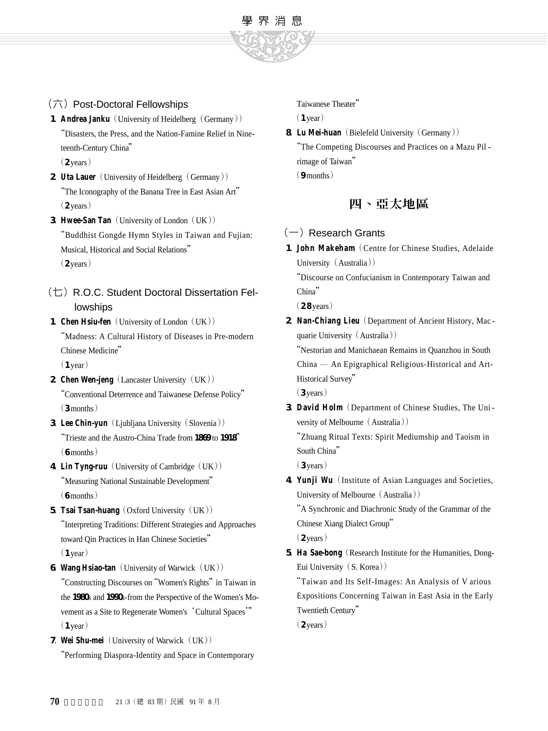

**1. Andrea Janku** (University of Heidelberg (Germany)) "Disasters, the Press, and the Nation-Famine Relief in Nineteenth-Century China"

(六)Post-Doctoral Fellowships

 $(2 \text{ years})$ 

- **2. Uta Lauer** (University of Heidelberg (Germany)) "The Iconography of the Banana Tree in East Asian Art"  $(2 \text{ years})$
- **3**. **Hwee-San Tan** (University of London (UK)) "Buddhist Gongde Hymn Styles in Taiwan and Fujian: Musical, Historical and Social Relations"  $(2 \text{ years})$
- (七)R.O.C. Student Doctoral Dissertation Fellowships
- 1. **Chen Hsiu-fen** (University of London (UK)) "Madness: A Cultural History of Diseases in Pre-modern Chinese Medicine"

 $(1$  year)

- **2. Chen Wen-jeng** (Lancaster University (UK)) "Conventional Deterrence and Taiwanese Defense Policy"  $(3$  months)
- **3**. Lee Chin-yun (Ljubljana University (Slovenia)) "Trieste and the Austro-China Trade from 1869 to 1918"  $(6$  months)
- 4. **Lin Tyng-ruu** (University of Cambridge (UK)) "Measuring National Sustainable Development"  $(6$  months)
- 5. **Tsai Tsan-huang** (Oxford University (UK)) "Interpreting Traditions: Different Strategies and Approaches toward Qin Practices in Han Chinese Societies"

 $(1$  year)

**6**. **Wang Hsiao-tan** (University of Warwick (UK))

"Constructing Discourses on"Women's Rights"in Taiwan in the 1980s and 1990s-from the Perspective of the Women's Movement as a Site to Regenerate Women's 'Cultural Spaces'"  $(1$  year)

**7. Wei Shu-mei** (University of Warwick (UK)) "Performing Diaspora-Identity and Space in Contemporary Taiwanese Theater"

 $(1$  year)

學 界 消 息

**8. Lu Mei-huan** (Bielefeld University (Germany)) "The Competing Discourses and Practices on a Mazu Pil rimage of Taiwan"  $(9$  months)

四、亞太地區

## $(-)$  Research Grants

1. **John Makeham** (Centre for Chinese Studies, Adelaide University (Australia))

"Discourse on Confucianism in Contemporary Taiwan and China"

(2.8 years)

**2**. **Nan-Chiang Lieu**(Department of Ancient History, Mac quarie University (Australia))

"Nestorian and Manichaean Remains in Quanzhou in South  $China$  — An Epigraphical Religious-Historical and Art-Historical Survey"

(3 years)

3. David Holm (Department of Chinese Studies, The University of Melbourne (Australia))

"Zhuang Ritual Texts: Spirit Mediumship and Taoism in South China"

 $(3$  years)

**4**. **Yunji Wu**(Institute of Asian Languages and Societies, University of Melbourne  $(A$ u stralia $))$ 

"A Synchronic and Diachronic Study of the Grammar of the Chinese Xiang Dialect Group"

 $(2 \text{ years})$ 

**5**. **Ha Sae-bong**(Research Institute for the Humanities, Dong-Eui University (S. Korea))

"Taiwan and Its Self-Images: An Analysis of V arious Expositions Concerning Taiwan in East Asia in the Early Twentieth Century"

 $(2 \text{ years})$